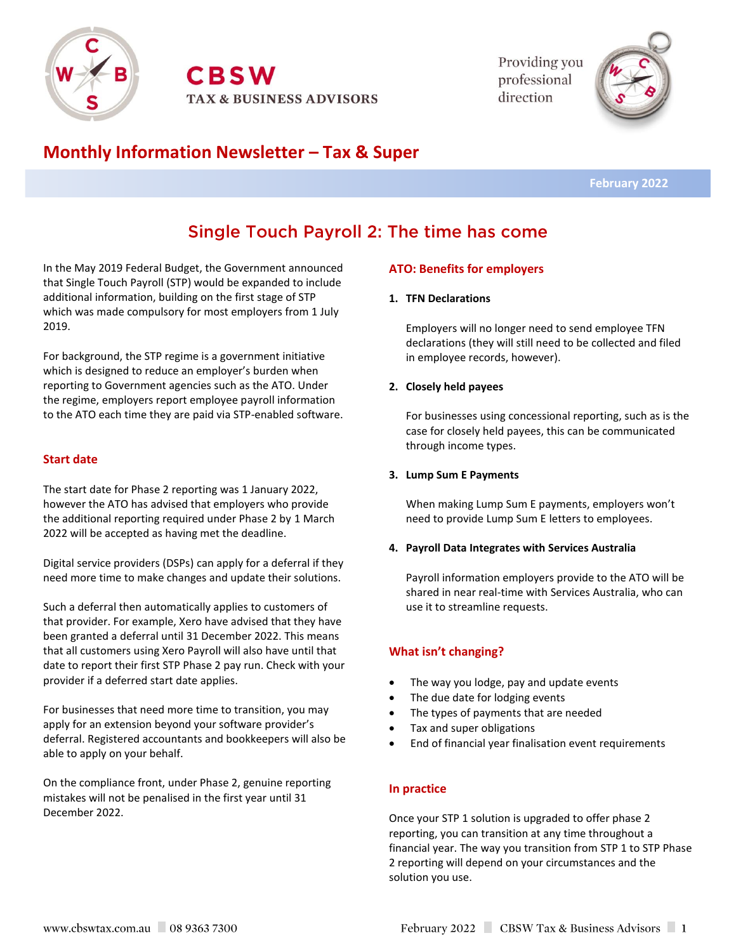

**CBSW TAX & BUSINESS ADVISORS**  Providing you professional direction



## **Monthly Information Newsletter – Tax & Super**

 **February 2022**

# Single Touch Payroll 2: The time has come

In the May 2019 Federal Budget, the Government announced that Single Touch Payroll (STP) would be expanded to include additional information, building on the first stage of STP which was made compulsory for most employers from 1 July 2019.

For background, the STP regime is a government initiative which is designed to reduce an employer's burden when reporting to Government agencies such as the ATO. Under the regime, employers report employee payroll information to the ATO each time they are paid via STP-enabled software.

## **Start date**

The start date for Phase 2 reporting was 1 January 2022, however the ATO has advised that employers who provide the additional reporting required under Phase 2 by 1 March 2022 will be accepted as having met the deadline.

Digital service providers (DSPs) can apply for a deferral if they need more time to make changes and update their solutions.

Such a deferral then automatically applies to customers of that provider. For example, Xero have advised that they have been granted a deferral until 31 December 2022. This means that all customers using Xero Payroll will also have until that date to report their first STP Phase 2 pay run. Check with your provider if a deferred start date applies.

For businesses that need more time to transition, you may apply for an extension beyond your software provider's deferral. Registered accountants and bookkeepers will also be able to apply on your behalf.

On the compliance front, under Phase 2, genuine reporting mistakes will not be penalised in the first year until 31 December 2022.

## **ATO: Benefits for employers**

#### **1. TFN Declarations**

Employers will no longer need to send employee TFN declarations (they will still need to be collected and filed in employee records, however).

#### **2. Closely held payees**

For businesses using concessional reporting, such as is the case for closely held payees, this can be communicated through income types.

#### **3. Lump Sum E Payments**

When making Lump Sum E payments, employers won't need to provide Lump Sum E letters to employees.

#### **4. Payroll Data Integrates with Services Australia**

Payroll information employers provide to the ATO will be shared in near real-time with Services Australia, who can use it to streamline requests.

## **What isn't changing?**

- The way you lodge, pay and update events
- The due date for lodging events
- The types of payments that are needed
- Tax and super obligations
- End of financial year finalisation event requirements

## **In practice**

Once your STP 1 solution is upgraded to offer phase 2 reporting, you can transition at any time throughout a financial year. The way you transition from STP 1 to STP Phase 2 reporting will depend on your circumstances and the solution you use.